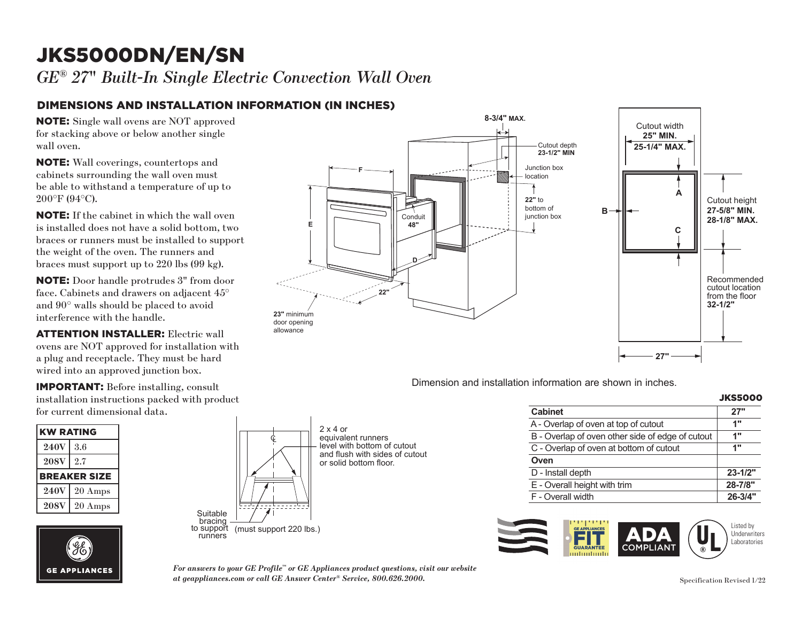# JKS5000DN/EN/SN **F**

*GE® 27*" *Built-In Single Electric Convection Wall Oven* 

#### DIMENSIONS AND INSTALLATION INFORMATION (IN INCHES) lnes)

NOTE: Single wall ovens are NOT approved for stacking above or below another single wall oven.

NOTE: Wall coverings, countertops and cabinets surrounding the wall oven must **D** be able to withstand a temperature of up to 200°F (94°C).

NOTE: If the cabinet in which the wall oven **22.** If the cabinet in which the wan oven<br>is installed does not have a solid bottom, two braces or runners must be installed to support the weight of the oven. The runners and braces must support up to  $220$  lbs  $(99 \text{ kg})$ .

NOTE: Door handle protrudes 3" from door face. Cabinets and drawers on adjacent 45° and 90° walls should be placed to avoid interference with the handle.

**ATTENTION INSTALLER:** Electric wall ovens are NOT approved for installation with a plug and receptacle. They must be hard wired into an approved junction box.  $\alpha$ .

IMPORTANT: Before installing, consult installation instructions packed with product for current dimensional data. for product

| <b>KW RATING</b>    |         |
|---------------------|---------|
| <b>240V</b>         | 3.6     |
| <b>208V</b>         | 2.7     |
| <b>BREAKER SIZE</b> |         |
| <b>240V</b>         | 20 Amps |
| <b>208V</b>         | 20 Amps |





Dimension and installation information are shown in inches.

| <b>Cabinet</b>                                   | 27"         |  |
|--------------------------------------------------|-------------|--|
| A - Overlap of oven at top of cutout             | 1"          |  |
| B - Overlap of oven other side of edge of cutout | 1"          |  |
| C - Overlap of oven at bottom of cutout          | 1"          |  |
| Oven                                             |             |  |
| D - Install depth                                | $23 - 1/2"$ |  |
| E - Overall height with trim                     | 28-7/8"     |  |
| F - Overall width                                | $26 - 3/4"$ |  |



*For answers to your GE Profile™ or GE Appliances product questions, visit our website at geappliances.com or call GE Answer Center® Service, 800.626.2000.* Specification Revised 1/22

 $\left|\frac{1}{2\pi\epsilon_0}\right|$ 

 $\Box$ 

2 x 4 or

 $\begin{bmatrix} 1 & 1 \\ 2 & 2 & 2 \\ 2 & 2 & 2 \\ 2 & 2 & 2 \\ 2 & 2 & 2 \\ 2 & 2 & 2 \\ 2 & 2 & 2 \\ 2 & 2 & 2 \\ 2 & 2 & 2 \\ 2 & 2 & 2 \\ 2 & 2 & 2 \\ 2 & 2 & 2 \\ 2 & 2 & 2 \\ 2 & 2 & 2 \\ 2 & 2 & 2 \\ 2 & 2 & 2 \\ 2 & 2 & 2 \\ 2 & 2 & 2 \\ 2 & 2 & 2 \\ 2 & 2 & 2 \\ 2 & 2 & 2 \\ 2 & 2 & 2 \\ 2 & 2 & 2 \\ 2 & 2 & 2 \\$ 

 $\sqrt{4}$ 

Ç

to support (must support 220 lbs.)

Suitable<br>bracing

equivalent runners

level with bottom of cutout and flush with sides of cutout or solid bottom floor.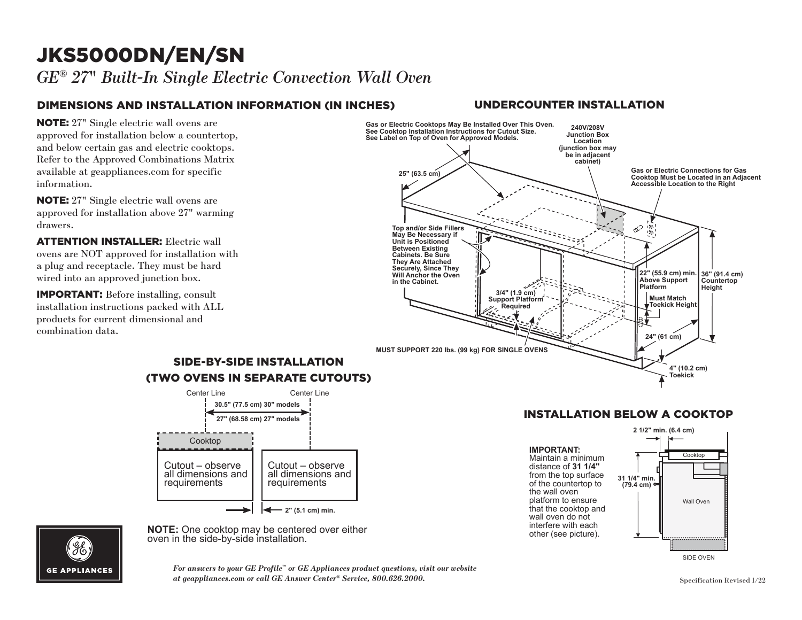## JKS5000DN/EN/SN

*GE® 27*" *Built-In Single Electric Convection Wall Oven* 

## DIMENSIONS AND INSTALLATION INFORMATION (IN INCHES)

**NOTE:** 27" Single electric wall ovens are approved for installation below a countertop, and below certain gas and electric cooktops. Refer to the Approved Combinations Matrix available at geappliances.com for specific information.

NOTE: 27" Single electric wall ovens are approved for installation above 27" warming drawers. **Top and/or Side Fillers** 

**ATTENTION INSTALLER:** Electric wall **CONSIDER AND IS CONSIDERED** MALE OVERSIDE MELTIC OPEN DISPONSIBLE ON A SURFACE AND NOTE AT A SURFACE SURFACE AND NOTE AT A SURFACE AND NOTE AT A SURFACE AND NOTE AT A SURFACE AND NOTE AT A SURFACE AND NOTE AT A SURFACE AN a plug and receptacle. They must be hard wired into an approved junction box.

IMPORTANT: Before installing, consult installation instructions packed with ALL products for current dimensional and combination data.



**Note:**  $\frac{1}{2}$  contribution. **NOTE:** One cooktop may be centered over either oven in the side-by-side installation.

# **GE APPLIANCES**

For answers to your GE Profile™ or GE Appliances product questions, visit our website<br>at geappliances com or call GE Apswer Center® Service–800 696 9000 *at geappliances.com or call GE Answer Center® Service, 800.626.2000.* Specification Revised 1/22

#### UNDERCOUNTER INSTALLATION



#### INSTALLATION BELOW A COOKTOP Cooktop

Maintain a minimum  $\uparrow$ distance of 31 1/4" from the top surface  $\frac{31.1}{4}$  mi platform to ensure that the cooktop and of the countertop to **IMPORTANT:**  the wall oven wall oven do not interfere with each other (see picture).